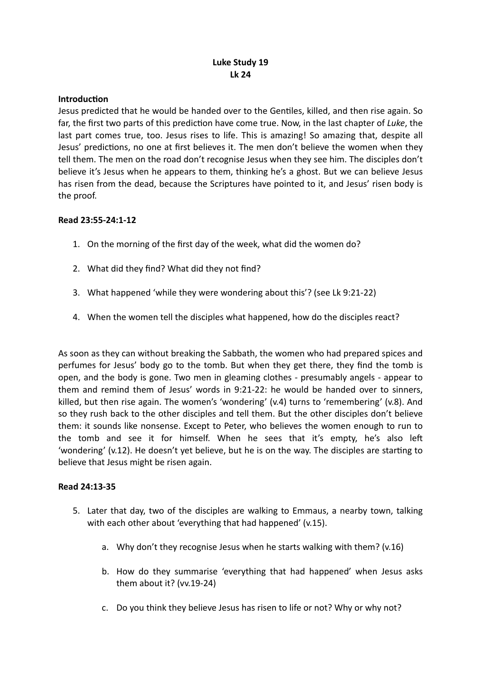# **Luke Study 19 Lk 24**

### **Introduction**

Jesus predicted that he would be handed over to the Gentiles, killed, and then rise again. So far, the first two parts of this prediction have come true. Now, in the last chapter of *Luke*, the last part comes true, too. Jesus rises to life. This is amazing! So amazing that, despite all Jesus' predictions, no one at first believes it. The men don't believe the women when they tell them. The men on the road don't recognise Jesus when they see him. The disciples don't believe it's Jesus when he appears to them, thinking he's a ghost. But we can believe Jesus has risen from the dead, because the Scriptures have pointed to it, and Jesus' risen body is the proof.

## **Read 23:55-24:1-12**

- 1. On the morning of the first day of the week, what did the women do?
- 2. What did they find? What did they not find?
- 3. What happened 'while they were wondering about this'? (see Lk 9:21-22)
- 4. When the women tell the disciples what happened, how do the disciples react?

As soon as they can without breaking the Sabbath, the women who had prepared spices and perfumes for Jesus' body go to the tomb. But when they get there, they find the tomb is open, and the body is gone. Two men in gleaming clothes - presumably angels - appear to them and remind them of Jesus' words in 9:21-22: he would be handed over to sinners, killed, but then rise again. The women's 'wondering' (v.4) turns to 'remembering' (v.8). And so they rush back to the other disciples and tell them. But the other disciples don't believe them: it sounds like nonsense. Except to Peter, who believes the women enough to run to the tomb and see it for himself. When he sees that it's empty, he's also left 'wondering' (v.12). He doesn't yet believe, but he is on the way. The disciples are starting to believe that Jesus might be risen again.

### **Read 24:13-35**

- 5. Later that day, two of the disciples are walking to Emmaus, a nearby town, talking with each other about 'everything that had happened' (v.15).
	- a. Why don't they recognise Jesus when he starts walking with them? (v.16)
	- b. How do they summarise 'everything that had happened' when Jesus asks them about it? (vv.19-24)
	- c. Do you think they believe Jesus has risen to life or not? Why or why not?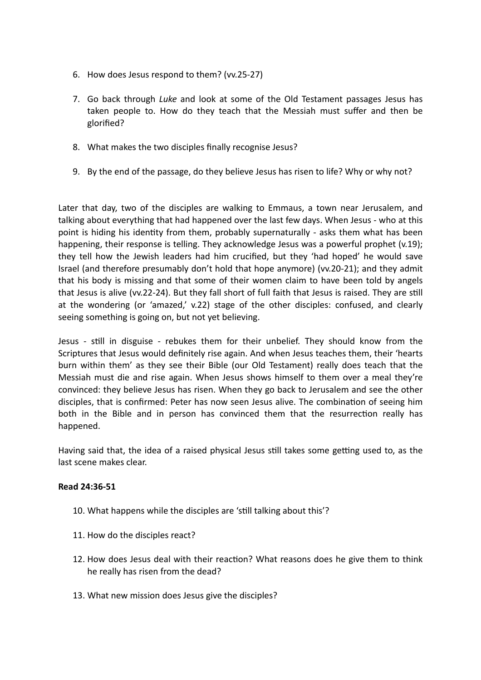- 6. How does Jesus respond to them? (vv.25-27)
- 7. Go back through *Luke* and look at some of the Old Testament passages Jesus has taken people to. How do they teach that the Messiah must suffer and then be glorified?
- 8. What makes the two disciples finally recognise Jesus?
- 9. By the end of the passage, do they believe Jesus has risen to life? Why or why not?

Later that day, two of the disciples are walking to Emmaus, a town near Jerusalem, and talking about everything that had happened over the last few days. When Jesus - who at this point is hiding his identity from them, probably supernaturally - asks them what has been happening, their response is telling. They acknowledge Jesus was a powerful prophet (v.19); they tell how the Jewish leaders had him crucified, but they 'had hoped' he would save Israel (and therefore presumably don't hold that hope anymore) (vv.20-21); and they admit that his body is missing and that some of their women claim to have been told by angels that Jesus is alive (vv.22-24). But they fall short of full faith that Jesus is raised. They are still at the wondering (or 'amazed,' v.22) stage of the other disciples: confused, and clearly seeing something is going on, but not yet believing.

Jesus - still in disguise - rebukes them for their unbelief. They should know from the Scriptures that Jesus would definitely rise again. And when Jesus teaches them, their 'hearts burn within them' as they see their Bible (our Old Testament) really does teach that the Messiah must die and rise again. When Jesus shows himself to them over a meal they're convinced: they believe Jesus has risen. When they go back to Jerusalem and see the other disciples, that is confirmed: Peter has now seen Jesus alive. The combination of seeing him both in the Bible and in person has convinced them that the resurrection really has happened.

Having said that, the idea of a raised physical Jesus still takes some getting used to, as the last scene makes clear.

### **Read 24:36-51**

- 10. What happens while the disciples are 'still talking about this'?
- 11. How do the disciples react?
- 12. How does Jesus deal with their reaction? What reasons does he give them to think he really has risen from the dead?
- 13. What new mission does Jesus give the disciples?